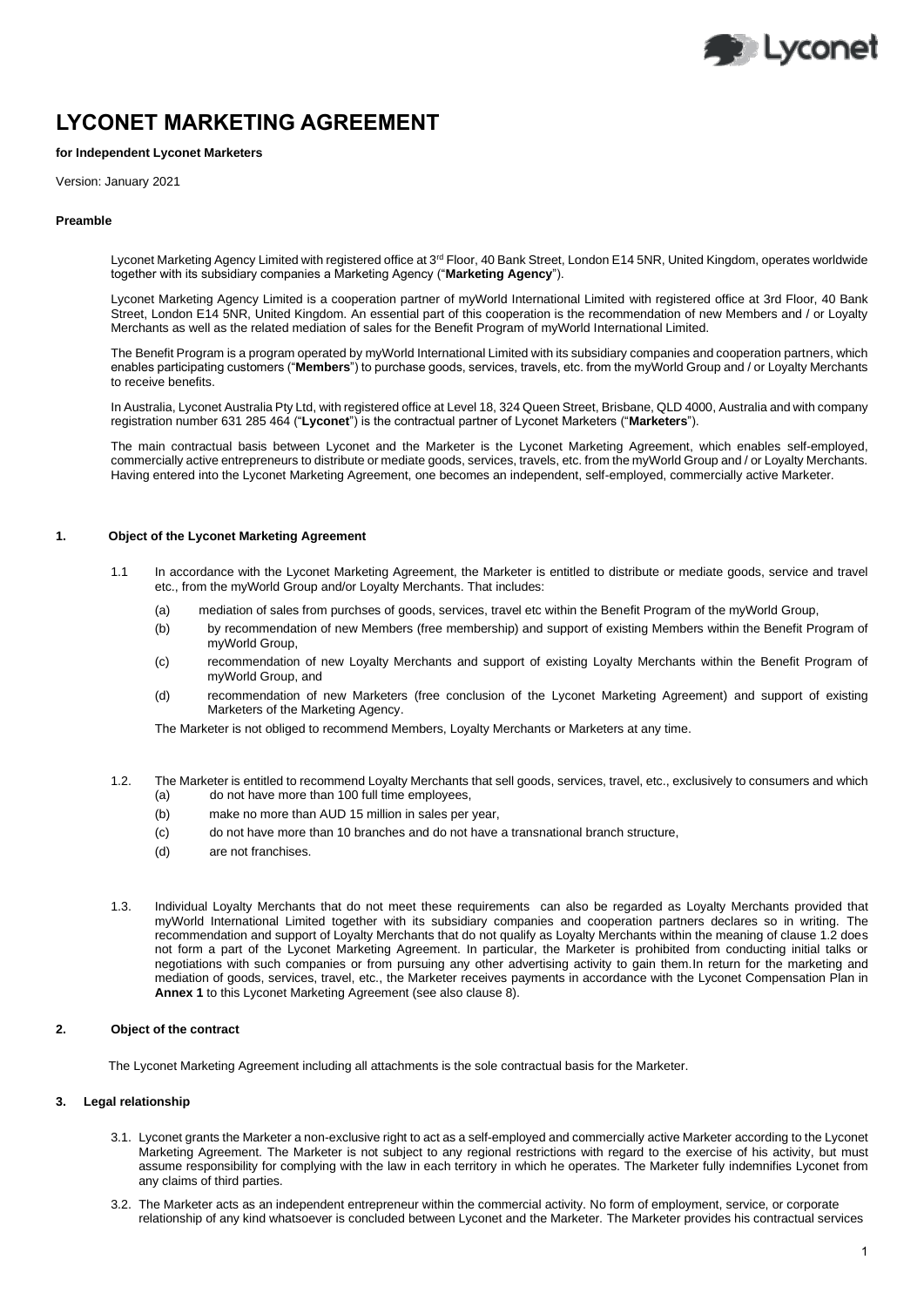

# **LYCONET MARKETING AGREEMENT**

# **for Independent Lyconet Marketers**

Version: January 2021

#### **Preamble**

Lyconet Marketing Agency Limited with registered office at 3<sup>rd</sup> Floor, 40 Bank Street, London E14 5NR, United Kingdom, operates worldwide together with its subsidiary companies a Marketing Agency ("**Marketing Agency**").

Lyconet Marketing Agency Limited is a cooperation partner of myWorld International Limited with registered office at 3rd Floor, 40 Bank Street, London E14 5NR, United Kingdom. An essential part of this cooperation is the recommendation of new Members and / or Loyalty Merchants as well as the related mediation of sales for the Benefit Program of myWorld International Limited.

The Benefit Program is a program operated by myWorld International Limited with its subsidiary companies and cooperation partners, which enables participating customers ("**Members**") to purchase goods, services, travels, etc. from the myWorld Group and / or Loyalty Merchants to receive benefits.

In Australia, Lyconet Australia Pty Ltd, with registered office at Level 18, 324 Queen Street, Brisbane, QLD 4000, Australia and with company registration number 631 285 464 ("**Lyconet**") is the contractual partner of Lyconet Marketers ("**Marketers**").

The main contractual basis between Lyconet and the Marketer is the Lyconet Marketing Agreement, which enables self-employed, commercially active entrepreneurs to distribute or mediate goods, services, travels, etc. from the myWorld Group and / or Loyalty Merchants. Having entered into the Lyconet Marketing Agreement, one becomes an independent, self-employed, commercially active Marketer.

## **1. Object of the Lyconet Marketing Agreement**

- 1.1 In accordance with the Lyconet Marketing Agreement, the Marketer is entitled to distribute or mediate goods, service and travel etc., from the myWorld Group and/or Loyalty Merchants. That includes:
	- (a) mediation of sales from purchses of goods, services, travel etc within the Benefit Program of the myWorld Group,
	- (b) by recommendation of new Members (free membership) and support of existing Members within the Benefit Program of myWorld Group,
	- (c) recommendation of new Loyalty Merchants and support of existing Loyalty Merchants within the Benefit Program of myWorld Group, and
	- (d) recommendation of new Marketers (free conclusion of the Lyconet Marketing Agreement) and support of existing Marketers of the Marketing Agency.

The Marketer is not obliged to recommend Members, Loyalty Merchants or Marketers at any time.

- 1.2. The Marketer is entitled to recommend Loyalty Merchants that sell goods, services, travel, etc., exclusively to consumers and which (a) do not have more than 100 full time employees,
	- (b) make no more than AUD 15 million in sales per year,
	- (c) do not have more than 10 branches and do not have a transnational branch structure,
	- (d) are not franchises.
- 1.3. Individual Loyalty Merchants that do not meet these requirements can also be regarded as Loyalty Merchants provided that myWorld International Limited together with its subsidiary companies and cooperation partners declares so in writing. The recommendation and support of Loyalty Merchants that do not qualify as Loyalty Merchants within the meaning of clause 1.2 does not form a part of the Lyconet Marketing Agreement. In particular, the Marketer is prohibited from conducting initial talks or negotiations with such companies or from pursuing any other advertising activity to gain them.In return for the marketing and mediation of goods, services, travel, etc., the Marketer receives payments in accordance with the Lyconet Compensation Plan in **Annex 1** to this Lyconet Marketing Agreement (see also clause 8).

# **2. Object of the contract**

The Lyconet Marketing Agreement including all attachments is the sole contractual basis for the Marketer.

## **3. Legal relationship**

- 3.1. Lyconet grants the Marketer a non-exclusive right to act as a self-employed and commercially active Marketer according to the Lyconet Marketing Agreement. The Marketer is not subject to any regional restrictions with regard to the exercise of his activity, but must assume responsibility for complying with the law in each territory in which he operates. The Marketer fully indemnifies Lyconet from any claims of third parties.
- 3.2. The Marketer acts as an independent entrepreneur within the commercial activity. No form of employment, service, or corporate relationship of any kind whatsoever is concluded between Lyconet and the Marketer. The Marketer provides his contractual services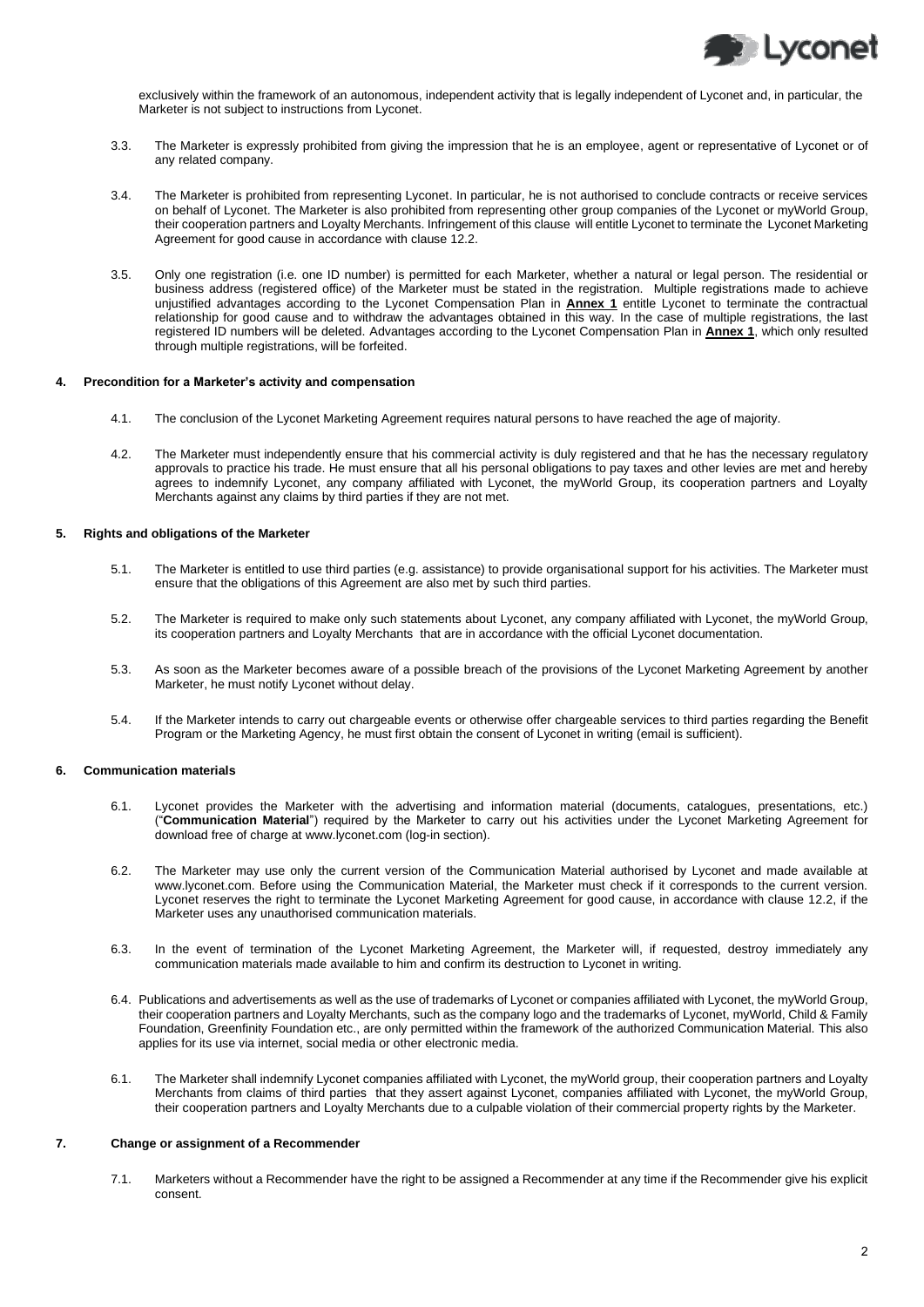

exclusively within the framework of an autonomous, independent activity that is legally independent of Lyconet and, in particular, the Marketer is not subject to instructions from Lyconet.

- 3.3. The Marketer is expressly prohibited from giving the impression that he is an employee, agent or representative of Lyconet or of any related company.
- 3.4. The Marketer is prohibited from representing Lyconet. In particular, he is not authorised to conclude contracts or receive services on behalf of Lyconet. The Marketer is also prohibited from representing other group companies of the Lyconet or myWorld Group, their cooperation partners and Loyalty Merchants. Infringement of this clause will entitle Lyconet to terminate the Lyconet Marketing Agreement for good cause in accordance with clause 12.2.
- 3.5. Only one registration (i.e. one ID number) is permitted for each Marketer, whether a natural or legal person. The residential or business address (registered office) of the Marketer must be stated in the registration. Multiple registrations made to achieve unjustified advantages according to the Lyconet Compensation Plan in **Annex 1** entitle Lyconet to terminate the contractual relationship for good cause and to withdraw the advantages obtained in this way. In the case of multiple registrations, the last registered ID numbers will be deleted. Advantages according to the Lyconet Compensation Plan in **Annex 1**, which only resulted through multiple registrations, will be forfeited.

#### **4. Precondition for a Marketer's activity and compensation**

- 4.1. The conclusion of the Lyconet Marketing Agreement requires natural persons to have reached the age of majority.
- 4.2. The Marketer must independently ensure that his commercial activity is duly registered and that he has the necessary regulatory approvals to practice his trade. He must ensure that all his personal obligations to pay taxes and other levies are met and hereby agrees to indemnify Lyconet, any company affiliated with Lyconet, the myWorld Group, its cooperation partners and Loyalty Merchants against any claims by third parties if they are not met.

# **5. Rights and obligations of the Marketer**

- 5.1. The Marketer is entitled to use third parties (e.g. assistance) to provide organisational support for his activities. The Marketer must ensure that the obligations of this Agreement are also met by such third parties.
- 5.2. The Marketer is required to make only such statements about Lyconet, any company affiliated with Lyconet, the myWorld Group, its cooperation partners and Loyalty Merchants that are in accordance with the official Lyconet documentation.
- 5.3. As soon as the Marketer becomes aware of a possible breach of the provisions of the Lyconet Marketing Agreement by another Marketer, he must notify Lyconet without delay.
- 5.4. If the Marketer intends to carry out chargeable events or otherwise offer chargeable services to third parties regarding the Benefit Program or the Marketing Agency, he must first obtain the consent of Lyconet in writing (email is sufficient).

## **6. Communication materials**

- 6.1. Lyconet provides the Marketer with the advertising and information material (documents, catalogues, presentations, etc.) ("**Communication Material**") required by the Marketer to carry out his activities under the Lyconet Marketing Agreement for download free of charge a[t www.lyconet.com](http://www.lyconet.com/) (log-in section).
- 6.2. The Marketer may use only the current version of the Communication Material authorised by Lyconet and made available at www.lyconet.com. Before using the Communication Material, the Marketer must check if it corresponds to the current version. Lyconet reserves the right to terminate the Lyconet Marketing Agreement for good cause, in accordance with clause 12.2, if the Marketer uses any unauthorised communication materials.
- 6.3. In the event of termination of the Lyconet Marketing Agreement, the Marketer will, if requested, destroy immediately any communication materials made available to him and confirm its destruction to Lyconet in writing.
- 6.4. Publications and advertisements as well as the use of trademarks of Lyconet or companies affiliated with Lyconet, the myWorld Group, their cooperation partners and Loyalty Merchants, such as the company logo and the trademarks of Lyconet, myWorld, Child & Family Foundation, Greenfinity Foundation etc., are only permitted within the framework of the authorized Communication Material. This also applies for its use via internet, social media or other electronic media.
- 6.1. The Marketer shall indemnify Lyconet companies affiliated with Lyconet, the myWorld group, their cooperation partners and Loyalty Merchants from claims of third parties that they assert against Lyconet, companies affiliated with Lyconet, the myWorld Group, their cooperation partners and Loyalty Merchants due to a culpable violation of their commercial property rights by the Marketer.

## **7. Change or assignment of a Recommender**

7.1. Marketers without a Recommender have the right to be assigned a Recommender at any time if the Recommender give his explicit consent.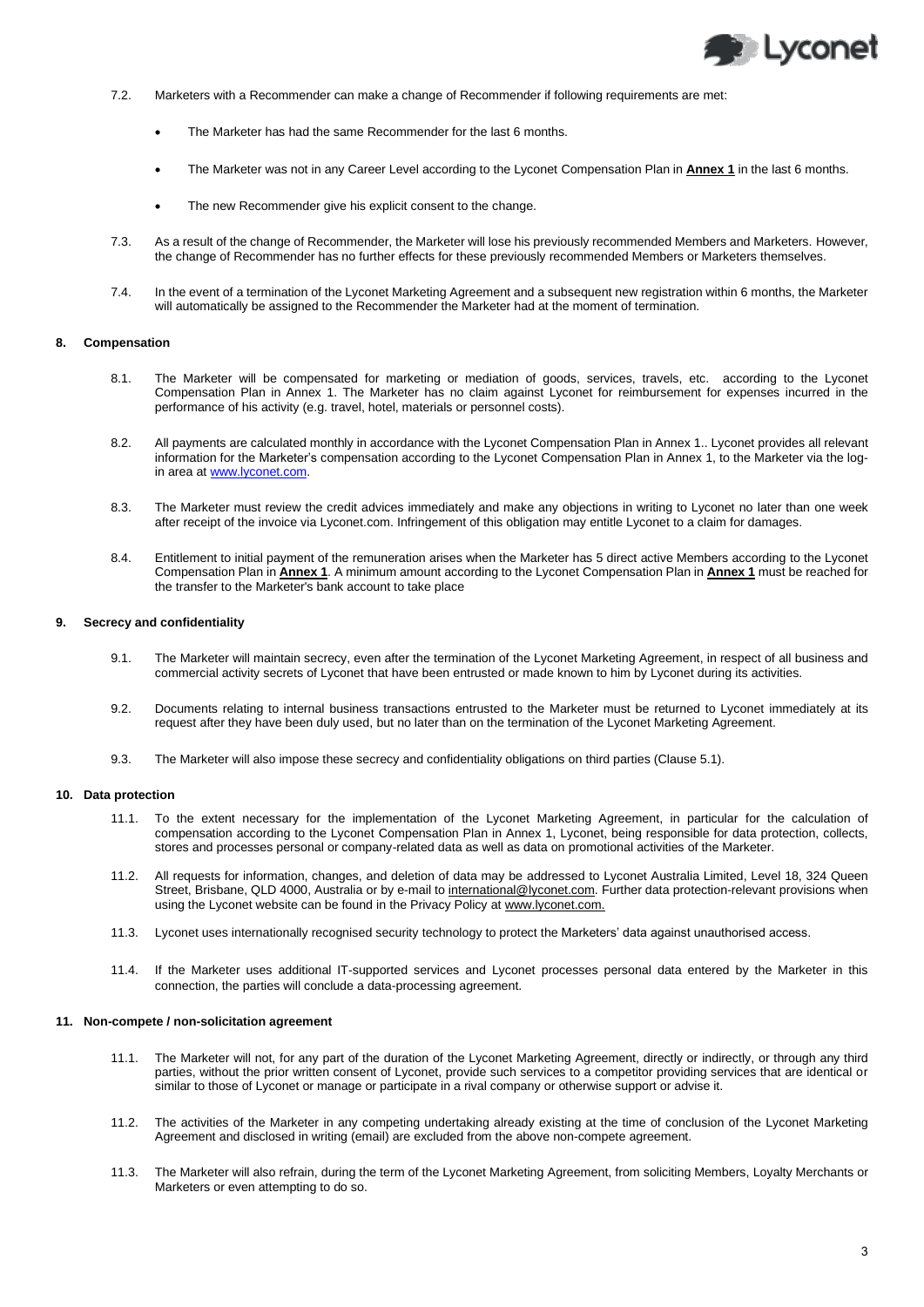

- 7.2. Marketers with a Recommender can make a change of Recommender if following requirements are met:
	- The Marketer has had the same Recommender for the last 6 months.
	- The Marketer was not in any Career Level according to the Lyconet Compensation Plan in **Annex 1** in the last 6 months.
	- The new Recommender give his explicit consent to the change.
- 7.3. As a result of the change of Recommender, the Marketer will lose his previously recommended Members and Marketers. However, the change of Recommender has no further effects for these previously recommended Members or Marketers themselves.
- 7.4. In the event of a termination of the Lyconet Marketing Agreement and a subsequent new registration within 6 months, the Marketer will automatically be assigned to the Recommender the Marketer had at the moment of termination.

#### **8. Compensation**

- 8.1. The Marketer will be compensated for marketing or mediation of goods, services, travels, etc. according to the Lyconet Compensation Plan in Annex 1. The Marketer has no claim against Lyconet for reimbursement for expenses incurred in the performance of his activity (e.g. travel, hotel, materials or personnel costs).
- 8.2. All payments are calculated monthly in accordance with the Lyconet Compensation Plan in Annex 1.. Lyconet provides all relevant information for the Marketer's compensation according to the Lyconet Compensation Plan in Annex 1, to the Marketer via the login area a[t www.lyconet.com.](http://www.lyconet.com/)
- 8.3. The Marketer must review the credit advices immediately and make any objections in writing to Lyconet no later than one week after receipt of the invoice via Lyconet.com. Infringement of this obligation may entitle Lyconet to a claim for damages.
- 8.4. Entitlement to initial payment of the remuneration arises when the Marketer has 5 direct active Members according to the Lyconet Compensation Plan in **Annex 1**. A minimum amount according to the Lyconet Compensation Plan in **Annex 1** must be reached for the transfer to the Marketer's bank account to take place

# **9. Secrecy and confidentiality**

- 9.1. The Marketer will maintain secrecy, even after the termination of the Lyconet Marketing Agreement, in respect of all business and commercial activity secrets of Lyconet that have been entrusted or made known to him by Lyconet during its activities.
- 9.2. Documents relating to internal business transactions entrusted to the Marketer must be returned to Lyconet immediately at its request after they have been duly used, but no later than on the termination of the Lyconet Marketing Agreement.
- 9.3. The Marketer will also impose these secrecy and confidentiality obligations on third parties (Clause 5.1).

#### **10. Data protection**

- 11.1. To the extent necessary for the implementation of the Lyconet Marketing Agreement, in particular for the calculation of compensation according to the Lyconet Compensation Plan in Annex 1, Lyconet, being responsible for data protection, collects, stores and processes personal or company-related data as well as data on promotional activities of the Marketer.
- 11.2. All requests for information, changes, and deletion of data may be addressed to Lyconet Australia Limited, Level 18, 324 Queen Street, Brisbane, QLD 4000, Australia or by e-mail to international@lyconet.com. Further data protection-relevant provisions when using the Lyconet website can be found in the Privacy Policy at www.lyconet.com.
- 11.3. Lyconet uses internationally recognised security technology to protect the Marketers' data against unauthorised access.
- 11.4. If the Marketer uses additional IT-supported services and Lyconet processes personal data entered by the Marketer in this connection, the parties will conclude a data-processing agreement.

#### **11. Non-compete / non-solicitation agreement**

- 11.1. The Marketer will not, for any part of the duration of the Lyconet Marketing Agreement, directly or indirectly, or through any third parties, without the prior written consent of Lyconet, provide such services to a competitor providing services that are identical or similar to those of Lyconet or manage or participate in a rival company or otherwise support or advise it.
- 11.2. The activities of the Marketer in any competing undertaking already existing at the time of conclusion of the Lyconet Marketing Agreement and disclosed in writing (email) are excluded from the above non-compete agreement.
- 11.3. The Marketer will also refrain, during the term of the Lyconet Marketing Agreement, from soliciting Members, Loyalty Merchants or Marketers or even attempting to do so.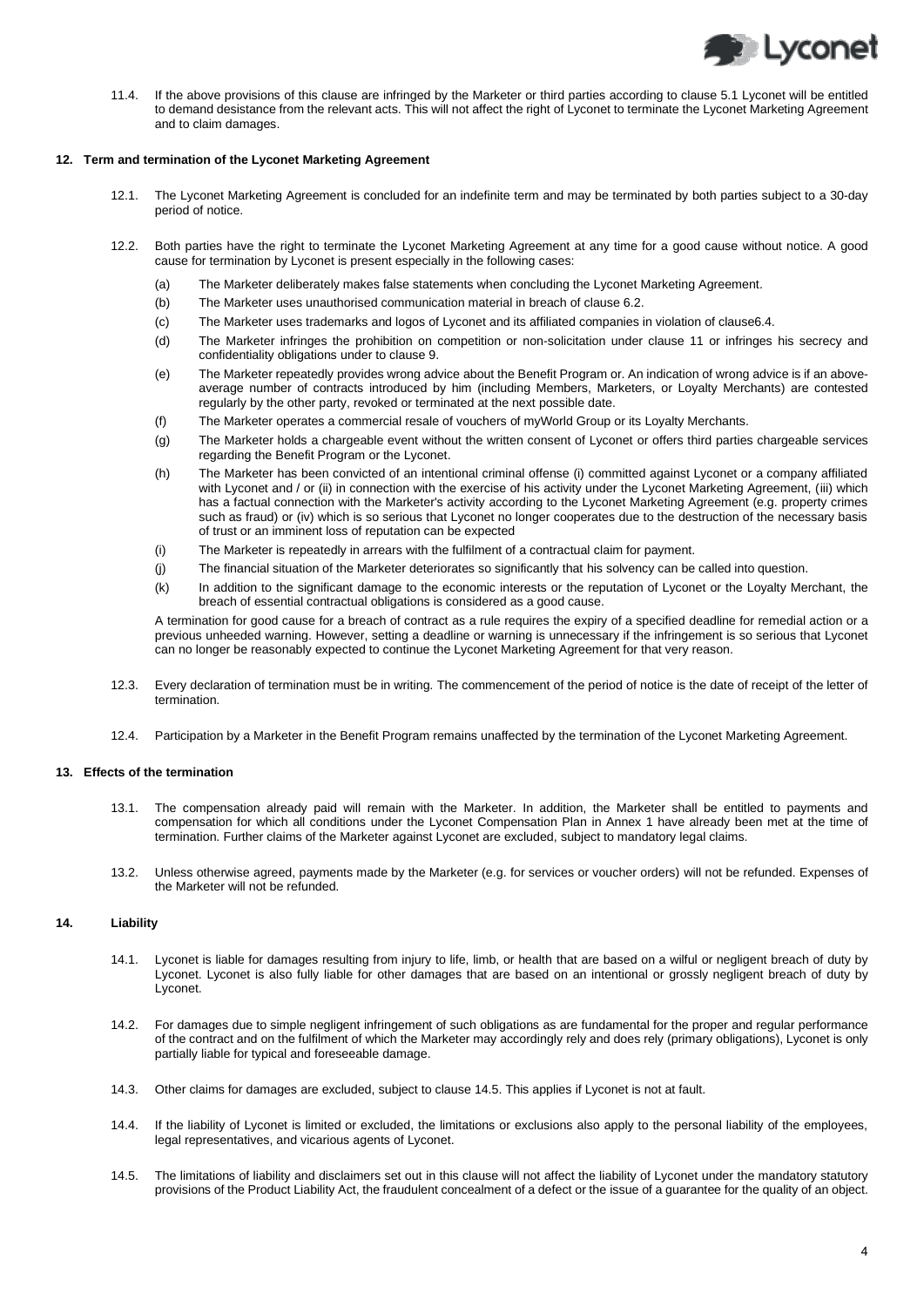

11.4. If the above provisions of this clause are infringed by the Marketer or third parties according to clause 5.1 Lyconet will be entitled to demand desistance from the relevant acts. This will not affect the right of Lyconet to terminate the Lyconet Marketing Agreement and to claim damages.

# **12. Term and termination of the Lyconet Marketing Agreement**

- 12.1. The Lyconet Marketing Agreement is concluded for an indefinite term and may be terminated by both parties subject to a 30-day period of notice.
- 12.2. Both parties have the right to terminate the Lyconet Marketing Agreement at any time for a good cause without notice. A good cause for termination by Lyconet is present especially in the following cases:
	- (a) The Marketer deliberately makes false statements when concluding the Lyconet Marketing Agreement.
	- (b) The Marketer uses unauthorised communication material in breach of clause 6.2.
	- (c) The Marketer uses trademarks and logos of Lyconet and its affiliated companies in violation of clause6.4.
	- (d) The Marketer infringes the prohibition on competition or non-solicitation under clause 11 or infringes his secrecy and confidentiality obligations under to clause 9.
	- (e) The Marketer repeatedly provides wrong advice about the Benefit Program or. An indication of wrong advice is if an aboveaverage number of contracts introduced by him (including Members, Marketers, or Loyalty Merchants) are contested regularly by the other party, revoked or terminated at the next possible date.
	- (f) The Marketer operates a commercial resale of vouchers of myWorld Group or its Loyalty Merchants.
	- (g) The Marketer holds a chargeable event without the written consent of Lyconet or offers third parties chargeable services regarding the Benefit Program or the Lyconet.
	- (h) The Marketer has been convicted of an intentional criminal offense (i) committed against Lyconet or a company affiliated with Lyconet and / or (ii) in connection with the exercise of his activity under the Lyconet Marketing Agreement, (iii) which has a factual connection with the Marketer's activity according to the Lyconet Marketing Agreement (e.g. property crimes such as fraud) or (iv) which is so serious that Lyconet no longer cooperates due to the destruction of the necessary basis of trust or an imminent loss of reputation can be expected
	- (i) The Marketer is repeatedly in arrears with the fulfilment of a contractual claim for payment.
	- (j) The financial situation of the Marketer deteriorates so significantly that his solvency can be called into question.
	- (k) In addition to the significant damage to the economic interests or the reputation of Lyconet or the Loyalty Merchant, the breach of essential contractual obligations is considered as a good cause.

A termination for good cause for a breach of contract as a rule requires the expiry of a specified deadline for remedial action or a previous unheeded warning. However, setting a deadline or warning is unnecessary if the infringement is so serious that Lyconet can no longer be reasonably expected to continue the Lyconet Marketing Agreement for that very reason.

- 12.3. Every declaration of termination must be in writing. The commencement of the period of notice is the date of receipt of the letter of termination.
- 12.4. Participation by a Marketer in the Benefit Program remains unaffected by the termination of the Lyconet Marketing Agreement.

# **13. Effects of the termination**

- 13.1. The compensation already paid will remain with the Marketer. In addition, the Marketer shall be entitled to payments and compensation for which all conditions under the Lyconet Compensation Plan in Annex 1 have already been met at the time of termination. Further claims of the Marketer against Lyconet are excluded, subject to mandatory legal claims.
- 13.2. Unless otherwise agreed, payments made by the Marketer (e.g. for services or voucher orders) will not be refunded. Expenses of the Marketer will not be refunded.

# **14. Liability**

- 14.1. Lyconet is liable for damages resulting from injury to life, limb, or health that are based on a wilful or negligent breach of duty by Lyconet. Lyconet is also fully liable for other damages that are based on an intentional or grossly negligent breach of duty by Lyconet.
- 14.2. For damages due to simple negligent infringement of such obligations as are fundamental for the proper and regular performance of the contract and on the fulfilment of which the Marketer may accordingly rely and does rely (primary obligations), Lyconet is only partially liable for typical and foreseeable damage.
- 14.3. Other claims for damages are excluded, subject to claus[e 14.5.](#page-3-0) This applies if Lyconet is not at fault.
- 14.4. If the liability of Lyconet is limited or excluded, the limitations or exclusions also apply to the personal liability of the employees, legal representatives, and vicarious agents of Lyconet.
- <span id="page-3-0"></span>14.5. The limitations of liability and disclaimers set out in this clause will not affect the liability of Lyconet under the mandatory statutory provisions of the Product Liability Act, the fraudulent concealment of a defect or the issue of a guarantee for the quality of an object.